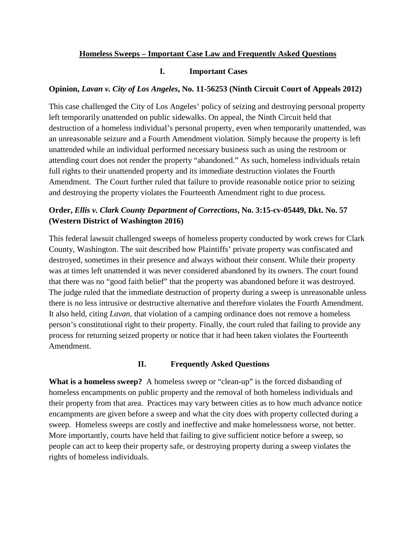### **Homeless Sweeps – Important Case Law and Frequently Asked Questions**

## **I. Important Cases**

## **Opinion,** *Lavan v. City of Los Angeles***, No. 11-56253 (Ninth Circuit Court of Appeals 2012)**

This case challenged the City of Los Angeles' policy of seizing and destroying personal property left temporarily unattended on public sidewalks. On appeal, the Ninth Circuit held that destruction of a homeless individual's personal property, even when temporarily unattended, was an unreasonable seizure and a Fourth Amendment violation. Simply because the property is left unattended while an individual performed necessary business such as using the restroom or attending court does not render the property "abandoned." As such, homeless individuals retain full rights to their unattended property and its immediate destruction violates the Fourth Amendment. The Court further ruled that failure to provide reasonable notice prior to seizing and destroying the property violates the Fourteenth Amendment right to due process.

# **Order,** *Ellis v. Clark County Department of Corrections***, No. 3:15-cv-05449, Dkt. No. 57 (Western District of Washington 2016)**

This federal lawsuit challenged sweeps of homeless property conducted by work crews for Clark County, Washington. The suit described how Plaintiffs' private property was confiscated and destroyed, sometimes in their presence and always without their consent. While their property was at times left unattended it was never considered abandoned by its owners. The court found that there was no "good faith belief" that the property was abandoned before it was destroyed. The judge ruled that the immediate destruction of property during a sweep is unreasonable unless there is *no* less intrusive or destructive alternative and therefore violates the Fourth Amendment. It also held, citing *Lavan*, that violation of a camping ordinance does not remove a homeless person's constitutional right to their property. Finally, the court ruled that failing to provide any process for returning seized property or notice that it had been taken violates the Fourteenth Amendment.

### **II. Frequently Asked Questions**

**What is a homeless sweep?** A homeless sweep or "clean-up" is the forced disbanding of homeless encampments on public property and the removal of both homeless individuals and their property from that area. Practices may vary between cities as to how much advance notice encampments are given before a sweep and what the city does with property collected during a sweep. Homeless sweeps are costly and ineffective and make homelessness worse, not better. More importantly, courts have held that failing to give sufficient notice before a sweep, so people can act to keep their property safe, or destroying property during a sweep violates the rights of homeless individuals.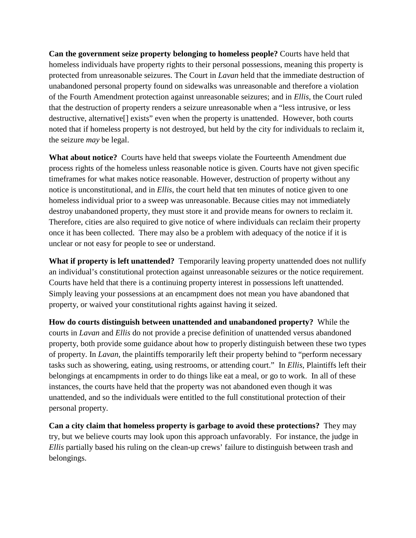**Can the government seize property belonging to homeless people?** Courts have held that homeless individuals have property rights to their personal possessions, meaning this property is protected from unreasonable seizures. The Court in *Lavan* held that the immediate destruction of unabandoned personal property found on sidewalks was unreasonable and therefore a violation of the Fourth Amendment protection against unreasonable seizures; and in *Ellis*, the Court ruled that the destruction of property renders a seizure unreasonable when a "less intrusive, or less destructive, alternative<sup>[]</sup> exists" even when the property is unattended. However, both courts noted that if homeless property is not destroyed, but held by the city for individuals to reclaim it, the seizure *may* be legal.

**What about notice?** Courts have held that sweeps violate the Fourteenth Amendment due process rights of the homeless unless reasonable notice is given. Courts have not given specific timeframes for what makes notice reasonable. However, destruction of property without any notice is unconstitutional, and in *Ellis*, the court held that ten minutes of notice given to one homeless individual prior to a sweep was unreasonable. Because cities may not immediately destroy unabandoned property, they must store it and provide means for owners to reclaim it. Therefore, cities are also required to give notice of where individuals can reclaim their property once it has been collected. There may also be a problem with adequacy of the notice if it is unclear or not easy for people to see or understand.

**What if property is left unattended?** Temporarily leaving property unattended does not nullify an individual's constitutional protection against unreasonable seizures or the notice requirement. Courts have held that there is a continuing property interest in possessions left unattended. Simply leaving your possessions at an encampment does not mean you have abandoned that property, or waived your constitutional rights against having it seized.

**How do courts distinguish between unattended and unabandoned property?** While the courts in *Lavan* and *Ellis* do not provide a precise definition of unattended versus abandoned property, both provide some guidance about how to properly distinguish between these two types of property. In *Lavan*, the plaintiffs temporarily left their property behind to "perform necessary tasks such as showering, eating, using restrooms, or attending court." In *Ellis*, Plaintiffs left their belongings at encampments in order to do things like eat a meal, or go to work. In all of these instances, the courts have held that the property was not abandoned even though it was unattended, and so the individuals were entitled to the full constitutional protection of their personal property.

**Can a city claim that homeless property is garbage to avoid these protections?** They may try, but we believe courts may look upon this approach unfavorably. For instance, the judge in *Ellis* partially based his ruling on the clean-up crews' failure to distinguish between trash and belongings.